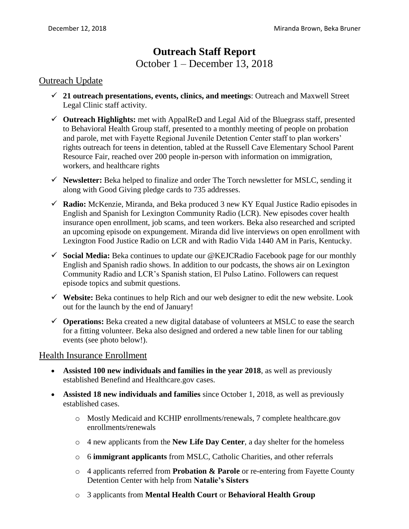# **Outreach Staff Report** October 1 – December 13, 2018

#### Outreach Update

- **21 outreach presentations, events, clinics, and meetings**: Outreach and Maxwell Street Legal Clinic staff activity.
- **Outreach Highlights:** met with AppalReD and Legal Aid of the Bluegrass staff, presented to Behavioral Health Group staff, presented to a monthly meeting of people on probation and parole, met with Fayette Regional Juvenile Detention Center staff to plan workers' rights outreach for teens in detention, tabled at the Russell Cave Elementary School Parent Resource Fair, reached over 200 people in-person with information on immigration, workers, and healthcare rights
- **Newsletter:** Beka helped to finalize and order The Torch newsletter for MSLC, sending it along with Good Giving pledge cards to 735 addresses.
- **Radio:** McKenzie, Miranda, and Beka produced 3 new KY Equal Justice Radio episodes in English and Spanish for Lexington Community Radio (LCR). New episodes cover health insurance open enrollment, job scams, and teen workers. Beka also researched and scripted an upcoming episode on expungement. Miranda did live interviews on open enrollment with Lexington Food Justice Radio on LCR and with Radio Vida 1440 AM in Paris, Kentucky.
- **Social Media:** Beka continues to update our @KEJCRadio Facebook page for our monthly English and Spanish radio shows. In addition to our podcasts, the shows air on Lexington Community Radio and LCR's Spanish station, El Pulso Latino. Followers can request episode topics and submit questions.
- **Website:** Beka continues to help Rich and our web designer to edit the new website. Look out for the launch by the end of January!
- **Operations:** Beka created a new digital database of volunteers at MSLC to ease the search for a fitting volunteer. Beka also designed and ordered a new table linen for our tabling events (see photo below!).

### Health Insurance Enrollment

- **Assisted 100 new individuals and families in the year 2018**, as well as previously established Benefind and Healthcare.gov cases.
- **Assisted 18 new individuals and families** since October 1, 2018, as well as previously established cases.
	- o Mostly Medicaid and KCHIP enrollments/renewals, 7 complete healthcare.gov enrollments/renewals
	- o 4 new applicants from the **New Life Day Center**, a day shelter for the homeless
	- o 6 **immigrant applicants** from MSLC, Catholic Charities, and other referrals
	- o 4 applicants referred from **Probation & Parole** or re-entering from Fayette County Detention Center with help from **Natalie's Sisters**
	- o 3 applicants from **Mental Health Court** or **Behavioral Health Group**